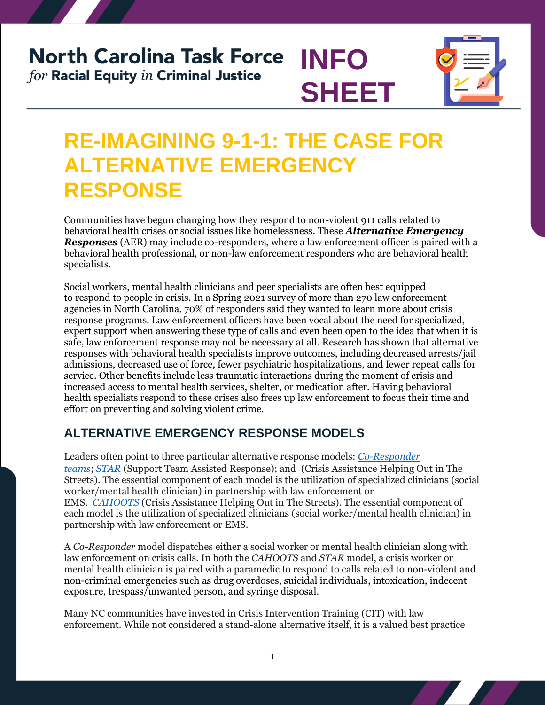# **North Carolina Task Force INFO** for Racial Equity in Criminal Justice



# **RE-IMAGINING 9-1-1: THE CASE FOR ALTERNATIVE EMERGENCY RESPONSE**

**SHEET**

Communities have begun changing how they respond to non-violent 911 calls related to behavioral health crises or social issues like homelessness. These *Alternative Emergency Responses* (AER) may include co-responders, where a law enforcement officer is paired with a behavioral health professional, or non-law enforcement responders who are behavioral health specialists.

Social workers, mental health clinicians and peer specialists are often best equipped to respond to people in crisis. In a Spring 2021 survey of more than 270 law enforcement agencies in North Carolina, 70% of responders said they wanted to learn more about crisis response programs. Law enforcement officers have been vocal about the need for specialized, expert support when answering these type of calls and even been open to the idea that when it is safe, law enforcement response may not be necessary at all. Research has shown that alternative responses with behavioral health specialists improve outcomes, including decreased arrests/jail admissions, decreased use of force, fewer psychiatric hospitalizations, and fewer repeat calls for service. Other benefits include less traumatic interactions during the moment of crisis and increased access to mental health services, shelter, or medication after. Having behavioral health specialists respond to these crises also frees up law enforcement to focus their time and effort on preventing and solving violent crime.

#### **ALTERNATIVE EMERGENCY RESPONSE MODELS**

Leaders often point to three particular alternative response models: *[Co-Responder](https://csgjusticecenter.org/publications/developing-and-implementing-your-co-responder-program/#:~:text=Developing%20and%20Implementing%20Your%20Co-Responder%20Program%20Many%20law,ensure%20best%20outcomes%20for%20the%20people%20in%20need.)  [teams](https://csgjusticecenter.org/publications/developing-and-implementing-your-co-responder-program/#:~:text=Developing%20and%20Implementing%20Your%20Co-Responder%20Program%20Many%20law,ensure%20best%20outcomes%20for%20the%20people%20in%20need.)*; *[STAR](https://www.denvergov.org/Government/Departments/Public-Health-Environment/Community-Behavioral-Health/Behavioral-Health-Strategies/Support-Team-Assisted-Response-STAR-Program)* (Support Team Assisted Response); and (Crisis Assistance Helping Out in The Streets). The essential component of each model is the utilization of specialized clinicians (social worker/mental health clinician) in partnership with law enforcement or EMS. *CAHOOTS* (Crisis Assistance Helping Out in The Streets). The essential component of each model is the utilization of specialized clinicians (social worker/mental health clinician) in partnership with law enforcement or EMS.

A *Co-Responder* model dispatches either a social worker or mental health clinician along with law enforcement on crisis calls. In both the *CAHOOTS* and *STAR* model, a crisis worker or mental health clinician is paired with a paramedic to respond to calls related to non-violent and non-criminal emergencies such as drug overdoses, suicidal individuals, intoxication, indecent exposure, trespass/unwanted person, and syringe disposal.

Many NC communities have invested in Crisis Intervention Training (CIT) with law enforcement. While not considered a stand-alone alternative itself, it is a valued best practice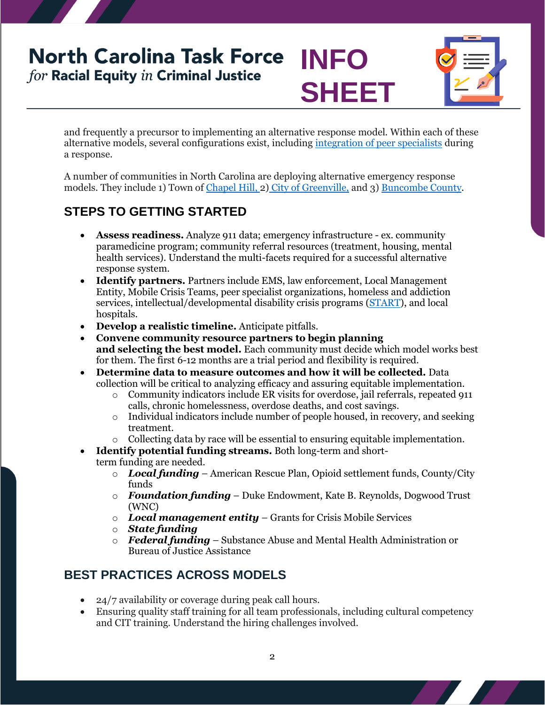## **North Carolina Task Force INFO** for Racial Equity in Criminal Justice **SHEET**



and frequently a precursor to implementing an alternative response model. Within each of these alternative models, several configurations exist, including [integration of peer specialists](https://www.prainc.com/resources/coresponder-models) during a response.

A number of communities in North Carolina are deploying alternative emergency response models. They include 1) Town of [Chapel Hill,](https://www.townofchapelhill.org/government/departments-services/police/divisions/specialty-units/crisis-unit) 2) City of [Greenville,](https://www.greenvillesc.gov/994/Crisis-Intervention) and 3) [Buncombe](https://www.buncombecounty.org/governing/depts/sheriff/crisis-intervention-team-program.aspx) County.

### **STEPS TO GETTING STARTED**

- **Assess readiness.** Analyze 911 data; emergency infrastructure ex. community paramedicine program; community referral resources (treatment, housing, mental health services). Understand the multi-facets required for a successful alternative response system.
- **Identify partners.** Partners include EMS, law enforcement, Local Management Entity, Mobile Crisis Teams, peer specialist organizations, homeless and addiction services, intellectual/developmental disability crisis programs [\(START\)](https://centerforstartservices.org/locations/north-carolina), and local hospitals.
- **Develop a realistic timeline.** Anticipate pitfalls.
- **Convene community resource partners to begin planning and selecting the best model.** Each community must decide which model works best for them. The first 6-12 months are a trial period and flexibility is required.
- **Determine data to measure outcomes and how it will be collected.** Data collection will be critical to analyzing efficacy and assuring equitable implementation.
	- o Community indicators include ER visits for overdose, jail referrals, repeated 911 calls, chronic homelessness, overdose deaths, and cost savings.
		- o Individual indicators include number of people housed, in recovery, and seeking treatment.
		- $\circ$  Collecting data by race will be essential to ensuring equitable implementation.
- **Identify potential funding streams.** Both long-term and shortterm funding are needed.
	- o *Local funding* American Rescue Plan, Opioid settlement funds, County/City funds
	- o *Foundation funding* Duke Endowment, Kate B. Reynolds, Dogwood Trust (WNC)
	- o *Local management entity* Grants for Crisis Mobile Services
	- o *State funding*
	- o *Federal funding* Substance Abuse and Mental Health Administration or Bureau of Justice Assistance

### **BEST PRACTICES ACROSS MODELS**

- 24/7 availability or coverage during peak call hours.
- Ensuring quality staff training for all team professionals, including cultural competency and CIT training. Understand the hiring challenges involved.